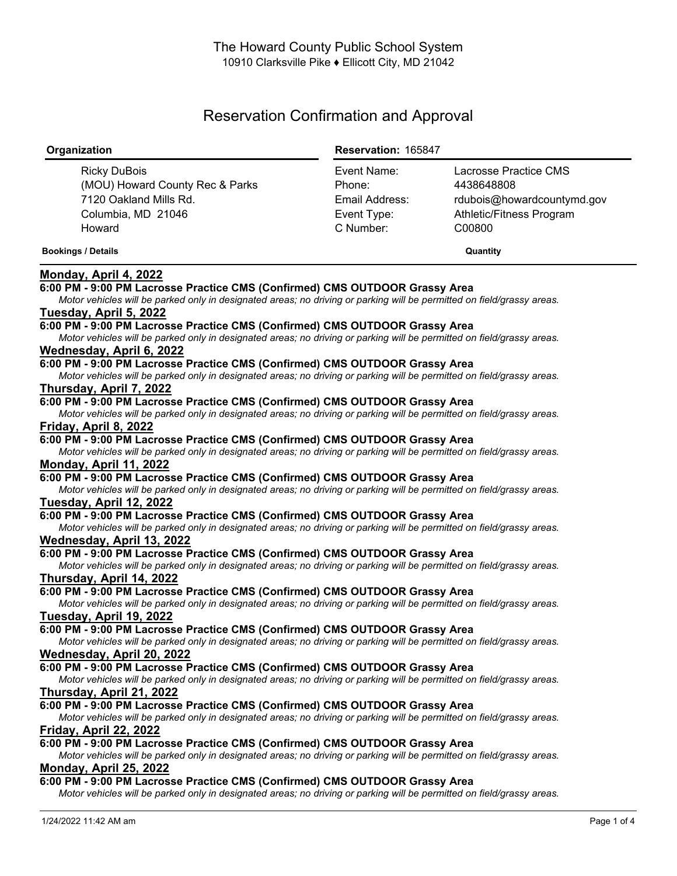# Reservation Confirmation and Approval

| Organization                                                                                                                                                                                          | Reservation: 165847 |                            |
|-------------------------------------------------------------------------------------------------------------------------------------------------------------------------------------------------------|---------------------|----------------------------|
| <b>Ricky DuBois</b>                                                                                                                                                                                   | Event Name:         | Lacrosse Practice CMS      |
| (MOU) Howard County Rec & Parks                                                                                                                                                                       | Phone:              | 4438648808                 |
| 7120 Oakland Mills Rd.                                                                                                                                                                                | Email Address:      | rdubois@howardcountymd.gov |
| Columbia, MD 21046                                                                                                                                                                                    | Event Type:         | Athletic/Fitness Program   |
| Howard                                                                                                                                                                                                | C Number:           | C00800                     |
| <b>Bookings / Details</b>                                                                                                                                                                             |                     | Quantity                   |
| Monday, April 4, 2022                                                                                                                                                                                 |                     |                            |
| 6:00 PM - 9:00 PM Lacrosse Practice CMS (Confirmed) CMS OUTDOOR Grassy Area                                                                                                                           |                     |                            |
| Motor vehicles will be parked only in designated areas; no driving or parking will be permitted on field/grassy areas.                                                                                |                     |                            |
| Tuesday, April 5, 2022                                                                                                                                                                                |                     |                            |
| 6:00 PM - 9:00 PM Lacrosse Practice CMS (Confirmed) CMS OUTDOOR Grassy Area                                                                                                                           |                     |                            |
| Motor vehicles will be parked only in designated areas; no driving or parking will be permitted on field/grassy areas.                                                                                |                     |                            |
| Wednesday, April 6, 2022                                                                                                                                                                              |                     |                            |
| 6:00 PM - 9:00 PM Lacrosse Practice CMS (Confirmed) CMS OUTDOOR Grassy Area                                                                                                                           |                     |                            |
| Motor vehicles will be parked only in designated areas; no driving or parking will be permitted on field/grassy areas.                                                                                |                     |                            |
| Thursday, April 7, 2022                                                                                                                                                                               |                     |                            |
| 6:00 PM - 9:00 PM Lacrosse Practice CMS (Confirmed) CMS OUTDOOR Grassy Area                                                                                                                           |                     |                            |
| Motor vehicles will be parked only in designated areas; no driving or parking will be permitted on field/grassy areas.                                                                                |                     |                            |
| Friday, April 8, 2022                                                                                                                                                                                 |                     |                            |
| 6:00 PM - 9:00 PM Lacrosse Practice CMS (Confirmed) CMS OUTDOOR Grassy Area                                                                                                                           |                     |                            |
| Motor vehicles will be parked only in designated areas; no driving or parking will be permitted on field/grassy areas.                                                                                |                     |                            |
| Monday, April 11, 2022                                                                                                                                                                                |                     |                            |
| 6:00 PM - 9:00 PM Lacrosse Practice CMS (Confirmed) CMS OUTDOOR Grassy Area<br>Motor vehicles will be parked only in designated areas; no driving or parking will be permitted on field/grassy areas. |                     |                            |
| Tuesday, April 12, 2022                                                                                                                                                                               |                     |                            |
| 6:00 PM - 9:00 PM Lacrosse Practice CMS (Confirmed) CMS OUTDOOR Grassy Area                                                                                                                           |                     |                            |
| Motor vehicles will be parked only in designated areas; no driving or parking will be permitted on field/grassy areas.                                                                                |                     |                            |
| Wednesday, April 13, 2022                                                                                                                                                                             |                     |                            |
| 6:00 PM - 9:00 PM Lacrosse Practice CMS (Confirmed) CMS OUTDOOR Grassy Area                                                                                                                           |                     |                            |
| Motor vehicles will be parked only in designated areas; no driving or parking will be permitted on field/grassy areas.                                                                                |                     |                            |
| Thursday, April 14, 2022                                                                                                                                                                              |                     |                            |
| 6:00 PM - 9:00 PM Lacrosse Practice CMS (Confirmed) CMS OUTDOOR Grassy Area                                                                                                                           |                     |                            |
| Motor vehicles will be parked only in designated areas; no driving or parking will be permitted on field/grassy areas.                                                                                |                     |                            |
| Tuesday, April 19, 2022                                                                                                                                                                               |                     |                            |
| 6:00 PM - 9:00 PM Lacrosse Practice CMS (Confirmed) CMS OUTDOOR Grassy Area                                                                                                                           |                     |                            |
| Motor vehicles will be parked only in designated areas; no driving or parking will be permitted on field/grassy areas.                                                                                |                     |                            |
| Wednesday, April 20, 2022                                                                                                                                                                             |                     |                            |
| 6:00 PM - 9:00 PM Lacrosse Practice CMS (Confirmed) CMS OUTDOOR Grassy Area                                                                                                                           |                     |                            |
| Motor vehicles will be parked only in designated areas; no driving or parking will be permitted on field/grassy areas.                                                                                |                     |                            |
| Thursday, April 21, 2022<br>6:00 PM - 9:00 PM Lacrosse Practice CMS (Confirmed) CMS OUTDOOR Grassy Area                                                                                               |                     |                            |
|                                                                                                                                                                                                       |                     |                            |
| Motor vehicles will be parked only in designated areas; no driving or parking will be permitted on field/grassy areas.<br>Friday, April 22, 2022                                                      |                     |                            |
| 6:00 PM - 9:00 PM Lacrosse Practice CMS (Confirmed) CMS OUTDOOR Grassy Area                                                                                                                           |                     |                            |
| Motor vehicles will be parked only in designated areas; no driving or parking will be permitted on field/grassy areas.                                                                                |                     |                            |
| Monday, April 25, 2022                                                                                                                                                                                |                     |                            |
| 6:00 PM - 9:00 PM Lacrosse Practice CMS (Confirmed) CMS OUTDOOR Grassy Area                                                                                                                           |                     |                            |
| Motor vehicles will be parked only in designated areas; no driving or parking will be permitted on field/grassy areas.                                                                                |                     |                            |
|                                                                                                                                                                                                       |                     |                            |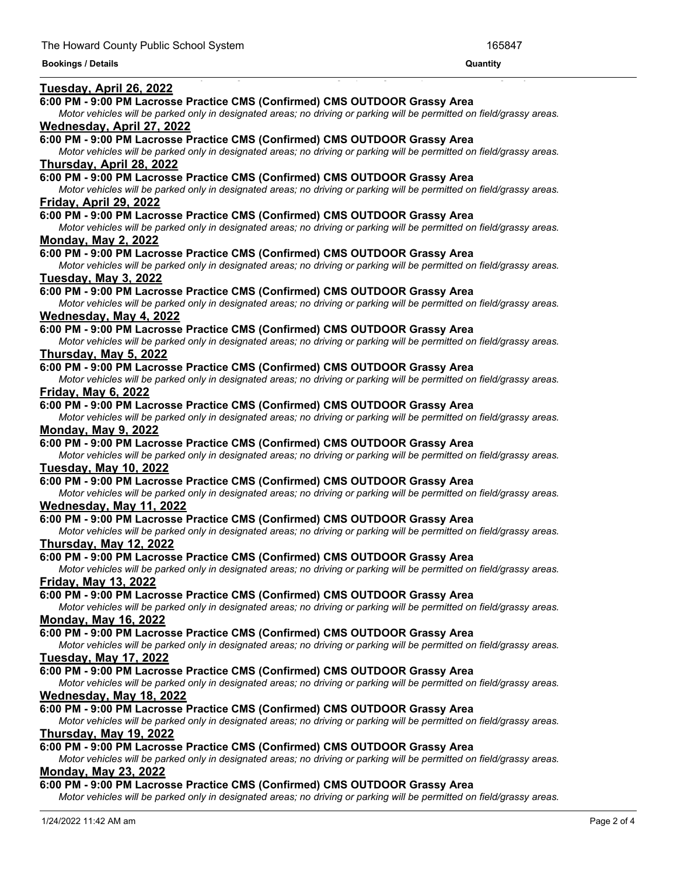#### **Bookings / Details Quantity**

#### **Tuesday, April 26, 2022**

#### **6:00 PM - 9:00 PM Lacrosse Practice CMS (Confirmed) CMS OUTDOOR Grassy Area**

Motor vehicles will be parked only in designated areas; no driving or parking will be permitted on field/grassy areas.

<u> 1989 - Andrea Andrea Andrea Andrea Andrea Andrea Andrea Andrea Andrea Andrea Andrea Andrea Andrea Andrea Andr</u>

# **Wednesday, April 27, 2022**

### **6:00 PM - 9:00 PM Lacrosse Practice CMS (Confirmed) CMS OUTDOOR Grassy Area**

Motor vehicles will be parked only in designated areas; no driving or parking will be permitted on field/grassy areas. **Thursday, April 28, 2022**

**6:00 PM - 9:00 PM Lacrosse Practice CMS (Confirmed) CMS OUTDOOR Grassy Area**

Motor vehicles will be parked only in designated areas; no driving or parking will be permitted on field/grassy areas. **Friday, April 29, 2022**

### **6:00 PM - 9:00 PM Lacrosse Practice CMS (Confirmed) CMS OUTDOOR Grassy Area**

Motor vehicles will be parked only in designated areas; no driving or parking will be permitted on field/grassy areas. **Monday, May 2, 2022**

#### **6:00 PM - 9:00 PM Lacrosse Practice CMS (Confirmed) CMS OUTDOOR Grassy Area**

Motor vehicles will be parked only in designated areas; no driving or parking will be permitted on field/grassy areas. **Tuesday, May 3, 2022**

#### **6:00 PM - 9:00 PM Lacrosse Practice CMS (Confirmed) CMS OUTDOOR Grassy Area**

Motor vehicles will be parked only in designated areas; no driving or parking will be permitted on field/grassy areas. **Wednesday, May 4, 2022**

### **6:00 PM - 9:00 PM Lacrosse Practice CMS (Confirmed) CMS OUTDOOR Grassy Area**

Motor vehicles will be parked only in designated areas; no driving or parking will be permitted on field/grassy areas. **Thursday, May 5, 2022**

#### **6:00 PM - 9:00 PM Lacrosse Practice CMS (Confirmed) CMS OUTDOOR Grassy Area**

Motor vehicles will be parked only in designated areas; no driving or parking will be permitted on field/grassy areas.

**Friday, May 6, 2022**

#### **6:00 PM - 9:00 PM Lacrosse Practice CMS (Confirmed) CMS OUTDOOR Grassy Area**

Motor vehicles will be parked only in designated areas; no driving or parking will be permitted on field/grassy areas. **Monday, May 9, 2022**

#### **6:00 PM - 9:00 PM Lacrosse Practice CMS (Confirmed) CMS OUTDOOR Grassy Area**

Motor vehicles will be parked only in designated areas; no driving or parking will be permitted on field/grassy areas. **Tuesday, May 10, 2022**

#### **6:00 PM - 9:00 PM Lacrosse Practice CMS (Confirmed) CMS OUTDOOR Grassy Area**

Motor vehicles will be parked only in designated areas; no driving or parking will be permitted on field/grassy areas.

# **Wednesday, May 11, 2022**

### **6:00 PM - 9:00 PM Lacrosse Practice CMS (Confirmed) CMS OUTDOOR Grassy Area**

Motor vehicles will be parked only in designated areas; no driving or parking will be permitted on field/grassy areas.

**Thursday, May 12, 2022**

#### **6:00 PM - 9:00 PM Lacrosse Practice CMS (Confirmed) CMS OUTDOOR Grassy Area**

Motor vehicles will be parked only in designated areas; no driving or parking will be permitted on field/grassy areas. **Friday, May 13, 2022**

#### **6:00 PM - 9:00 PM Lacrosse Practice CMS (Confirmed) CMS OUTDOOR Grassy Area**

Motor vehicles will be parked only in designated areas; no driving or parking will be permitted on field/grassy areas. **Monday, May 16, 2022**

#### **6:00 PM - 9:00 PM Lacrosse Practice CMS (Confirmed) CMS OUTDOOR Grassy Area**

Motor vehicles will be parked only in designated areas; no driving or parking will be permitted on field/grassy areas. **Tuesday, May 17, 2022**

#### **6:00 PM - 9:00 PM Lacrosse Practice CMS (Confirmed) CMS OUTDOOR Grassy Area**

Motor vehicles will be parked only in designated areas; no driving or parking will be permitted on field/grassy areas. **Wednesday, May 18, 2022**

### **6:00 PM - 9:00 PM Lacrosse Practice CMS (Confirmed) CMS OUTDOOR Grassy Area**

Motor vehicles will be parked only in designated areas; no driving or parking will be permitted on field/grassy areas. **Thursday, May 19, 2022**

# **6:00 PM - 9:00 PM Lacrosse Practice CMS (Confirmed) CMS OUTDOOR Grassy Area**

Motor vehicles will be parked only in designated areas; no driving or parking will be permitted on field/grassy areas.

# **Monday, May 23, 2022**

#### **6:00 PM - 9:00 PM Lacrosse Practice CMS (Confirmed) CMS OUTDOOR Grassy Area**

Motor vehicles will be parked only in designated areas; no driving or parking will be permitted on field/grassy areas.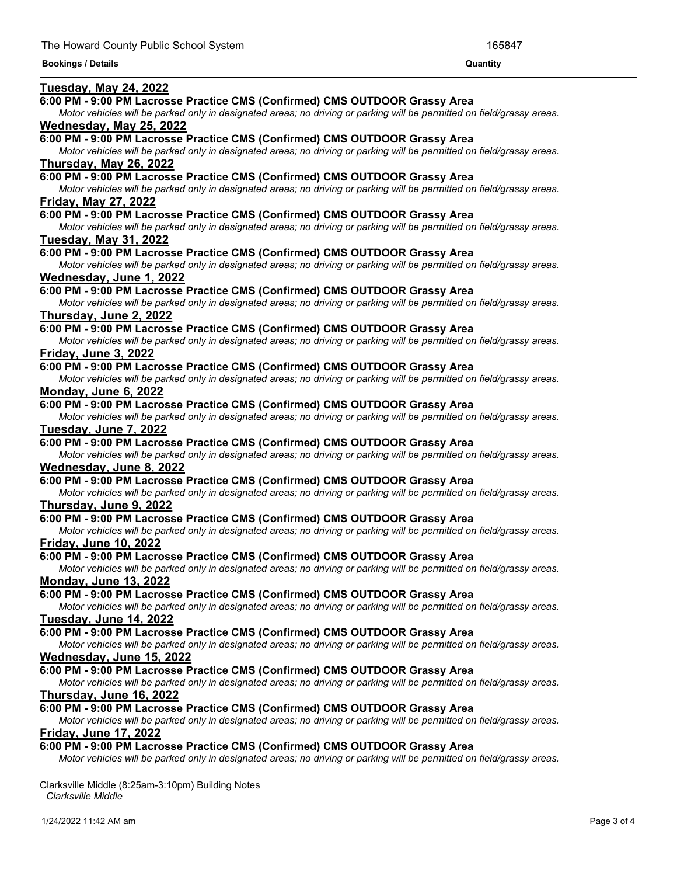#### **Bookings / Details Quantity**

#### **Tuesday, May 24, 2022**

#### **6:00 PM - 9:00 PM Lacrosse Practice CMS (Confirmed) CMS OUTDOOR Grassy Area**

Motor vehicles will be parked only in designated areas; no driving or parking will be permitted on field/grassy areas. **Wednesday, May 25, 2022**

*Motor vehicles will be parked only in designated areas; no driving or parking will be permitted on field/grassy areas.*

## **6:00 PM - 9:00 PM Lacrosse Practice CMS (Confirmed) CMS OUTDOOR Grassy Area**

Motor vehicles will be parked only in designated areas; no driving or parking will be permitted on field/grassy areas. **Thursday, May 26, 2022**

**6:00 PM - 9:00 PM Lacrosse Practice CMS (Confirmed) CMS OUTDOOR Grassy Area**

Motor vehicles will be parked only in designated areas; no driving or parking will be permitted on field/grassy areas. **Friday, May 27, 2022**

#### **6:00 PM - 9:00 PM Lacrosse Practice CMS (Confirmed) CMS OUTDOOR Grassy Area**

Motor vehicles will be parked only in designated areas; no driving or parking will be permitted on field/grassy areas.

# **Tuesday, May 31, 2022**

### **6:00 PM - 9:00 PM Lacrosse Practice CMS (Confirmed) CMS OUTDOOR Grassy Area**

Motor vehicles will be parked only in designated areas; no driving or parking will be permitted on field/grassy areas. **Wednesday, June 1, 2022**

#### **6:00 PM - 9:00 PM Lacrosse Practice CMS (Confirmed) CMS OUTDOOR Grassy Area**

Motor vehicles will be parked only in designated areas; no driving or parking will be permitted on field/grassy areas. **Thursday, June 2, 2022**

#### **6:00 PM - 9:00 PM Lacrosse Practice CMS (Confirmed) CMS OUTDOOR Grassy Area**

Motor vehicles will be parked only in designated areas; no driving or parking will be permitted on field/grassy areas. **Friday, June 3, 2022**

#### **6:00 PM - 9:00 PM Lacrosse Practice CMS (Confirmed) CMS OUTDOOR Grassy Area**

Motor vehicles will be parked only in designated areas; no driving or parking will be permitted on field/grassy areas. **Monday, June 6, 2022**

#### **6:00 PM - 9:00 PM Lacrosse Practice CMS (Confirmed) CMS OUTDOOR Grassy Area**

Motor vehicles will be parked only in designated areas; no driving or parking will be permitted on field/grassy areas. **Tuesday, June 7, 2022**

#### **6:00 PM - 9:00 PM Lacrosse Practice CMS (Confirmed) CMS OUTDOOR Grassy Area**

Motor vehicles will be parked only in designated areas; no driving or parking will be permitted on field/grassy areas. **Wednesday, June 8, 2022**

#### **6:00 PM - 9:00 PM Lacrosse Practice CMS (Confirmed) CMS OUTDOOR Grassy Area**

Motor vehicles will be parked only in designated areas; no driving or parking will be permitted on field/grassy areas. **Thursday, June 9, 2022**

### **6:00 PM - 9:00 PM Lacrosse Practice CMS (Confirmed) CMS OUTDOOR Grassy Area**

Motor vehicles will be parked only in designated areas; no driving or parking will be permitted on field/grassy areas.

**Friday, June 10, 2022**

### **6:00 PM - 9:00 PM Lacrosse Practice CMS (Confirmed) CMS OUTDOOR Grassy Area**

Motor vehicles will be parked only in designated areas; no driving or parking will be permitted on field/grassy areas. **Monday, June 13, 2022**

#### **6:00 PM - 9:00 PM Lacrosse Practice CMS (Confirmed) CMS OUTDOOR Grassy Area**

Motor vehicles will be parked only in designated areas; no driving or parking will be permitted on field/grassy areas. **Tuesday, June 14, 2022**

#### **6:00 PM - 9:00 PM Lacrosse Practice CMS (Confirmed) CMS OUTDOOR Grassy Area**

Motor vehicles will be parked only in designated areas; no driving or parking will be permitted on field/grassy areas. **Wednesday, June 15, 2022**

# **6:00 PM - 9:00 PM Lacrosse Practice CMS (Confirmed) CMS OUTDOOR Grassy Area**

Motor vehicles will be parked only in designated areas; no driving or parking will be permitted on field/grassy areas. **Thursday, June 16, 2022**

### **6:00 PM - 9:00 PM Lacrosse Practice CMS (Confirmed) CMS OUTDOOR Grassy Area**

Motor vehicles will be parked only in designated areas; no driving or parking will be permitted on field/grassy areas. **Friday, June 17, 2022**

### **6:00 PM - 9:00 PM Lacrosse Practice CMS (Confirmed) CMS OUTDOOR Grassy Area**

Motor vehicles will be parked only in designated areas; no driving or parking will be permitted on field/grassy areas.

Clarksville Middle (8:25am-3:10pm) Building Notes *Clarksville Middle*